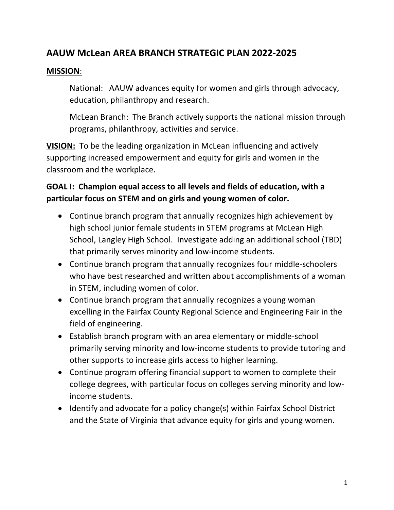# **AAUW McLean AREA BRANCH STRATEGIC PLAN 2022-2025**

#### **MISSION**:

National: AAUW advances equity for women and girls through advocacy, education, philanthropy and research.

McLean Branch: The Branch actively supports the national mission through programs, philanthropy, activities and service.

**VISION:** To be the leading organization in McLean influencing and actively supporting increased empowerment and equity for girls and women in the classroom and the workplace.

### **GOAL I: Champion equal access to all levels and fields of education, with a particular focus on STEM and on girls and young women of color.**

- Continue branch program that annually recognizes high achievement by high school junior female students in STEM programs at McLean High School, Langley High School. Investigate adding an additional school (TBD) that primarily serves minority and low-income students.
- Continue branch program that annually recognizes four middle-schoolers who have best researched and written about accomplishments of a woman in STEM, including women of color.
- Continue branch program that annually recognizes a young woman excelling in the Fairfax County Regional Science and Engineering Fair in the field of engineering.
- Establish branch program with an area elementary or middle-school primarily serving minority and low-income students to provide tutoring and other supports to increase girls access to higher learning.
- Continue program offering financial support to women to complete their college degrees, with particular focus on colleges serving minority and lowincome students.
- Identify and advocate for a policy change(s) within Fairfax School District and the State of Virginia that advance equity for girls and young women.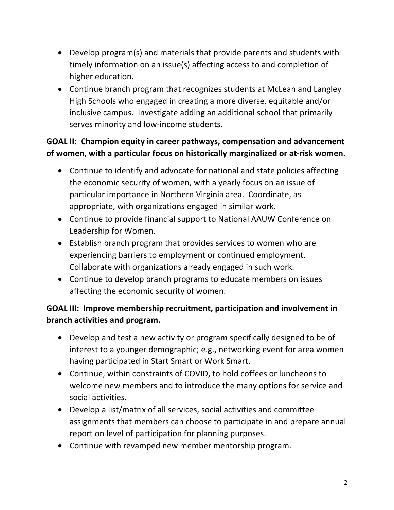- Develop program(s) and materials that provide parents and students with timely information on an issue(s) affecting access to and completion of higher education.
- Continue branch program that recognizes students at McLean and Langley High Schools who engaged in creating a more diverse, equitable and/or inclusive campus. Investigate adding an additional school that primarily serves minority and low-income students.

## **GOAL II: Champion equity in career pathways, compensation and advancement of women, with a particular focus on historically marginalized or at-risk women.**

- Continue to identify and advocate for national and state policies affecting the economic security of women, with a yearly focus on an issue of particular importance in Northern Virginia area. Coordinate, as appropriate, with organizations engaged in similar work.
- Continue to provide financial support to National AAUW Conference on Leadership for Women.
- Establish branch program that provides services to women who are experiencing barriers to employment or continued employment. Collaborate with organizations already engaged in such work.
- Continue to develop branch programs to educate members on issues affecting the economic security of women.

### **GOAL III: Improve membership recruitment, participation and involvement in branch activities and program.**

- Develop and test a new activity or program specifically designed to be of interest to a younger demographic; e.g., networking event for area women having participated in Start Smart or Work Smart.
- Continue, within constraints of COVID, to hold coffees or luncheons to welcome new members and to introduce the many options for service and social activities.
- Develop a list/matrix of all services, social activities and committee assignments that members can choose to participate in and prepare annual report on level of participation for planning purposes.
- Continue with revamped new member mentorship program.